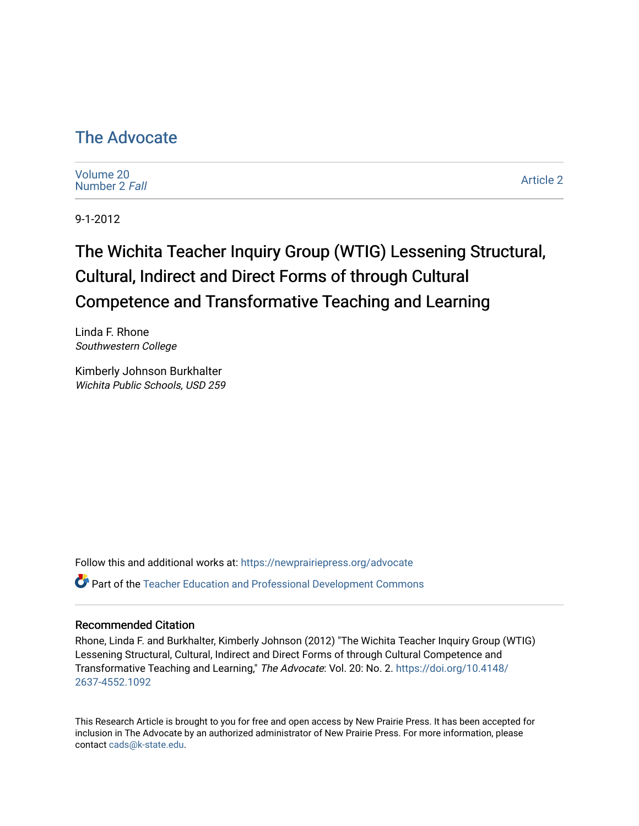## [The Advocate](https://newprairiepress.org/advocate)

[Volume 20](https://newprairiepress.org/advocate/vol20) [Number 2](https://newprairiepress.org/advocate/vol20/iss2) Fall

[Article 2](https://newprairiepress.org/advocate/vol20/iss2/2) 

9-1-2012

# The Wichita Teacher Inquiry Group (WTIG) Lessening Structural, Cultural, Indirect and Direct Forms of through Cultural Competence and Transformative Teaching and Learning

Linda F. Rhone Southwestern College

Kimberly Johnson Burkhalter Wichita Public Schools, USD 259

Follow this and additional works at: [https://newprairiepress.org/advocate](https://newprairiepress.org/advocate?utm_source=newprairiepress.org%2Fadvocate%2Fvol20%2Fiss2%2F2&utm_medium=PDF&utm_campaign=PDFCoverPages)  Part of the [Teacher Education and Professional Development Commons](http://network.bepress.com/hgg/discipline/803?utm_source=newprairiepress.org%2Fadvocate%2Fvol20%2Fiss2%2F2&utm_medium=PDF&utm_campaign=PDFCoverPages) 

#### Recommended Citation

Rhone, Linda F. and Burkhalter, Kimberly Johnson (2012) "The Wichita Teacher Inquiry Group (WTIG) Lessening Structural, Cultural, Indirect and Direct Forms of through Cultural Competence and Transformative Teaching and Learning," The Advocate: Vol. 20: No. 2. [https://doi.org/10.4148/](https://doi.org/10.4148/2637-4552.1092) [2637-4552.1092](https://doi.org/10.4148/2637-4552.1092) 

This Research Article is brought to you for free and open access by New Prairie Press. It has been accepted for inclusion in The Advocate by an authorized administrator of New Prairie Press. For more information, please contact [cads@k-state.edu](mailto:cads@k-state.edu).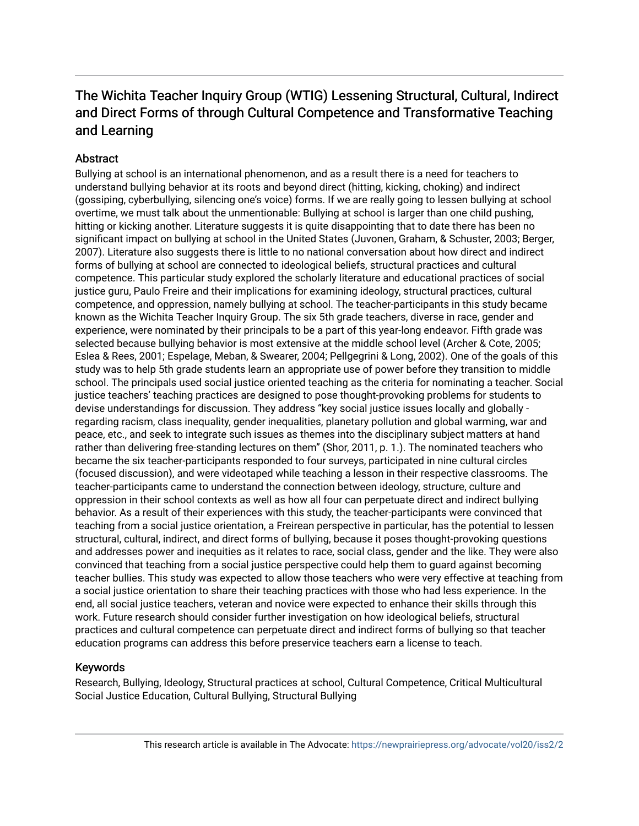## The Wichita Teacher Inquiry Group (WTIG) Lessening Structural, Cultural, Indirect and Direct Forms of through Cultural Competence and Transformative Teaching and Learning

#### **Abstract**

Bullying at school is an international phenomenon, and as a result there is a need for teachers to understand bullying behavior at its roots and beyond direct (hitting, kicking, choking) and indirect (gossiping, cyberbullying, silencing one's voice) forms. If we are really going to lessen bullying at school overtime, we must talk about the unmentionable: Bullying at school is larger than one child pushing, hitting or kicking another. Literature suggests it is quite disappointing that to date there has been no significant impact on bullying at school in the United States (Juvonen, Graham, & Schuster, 2003; Berger, 2007). Literature also suggests there is little to no national conversation about how direct and indirect forms of bullying at school are connected to ideological beliefs, structural practices and cultural competence. This particular study explored the scholarly literature and educational practices of social justice guru, Paulo Freire and their implications for examining ideology, structural practices, cultural competence, and oppression, namely bullying at school. The teacher-participants in this study became known as the Wichita Teacher Inquiry Group. The six 5th grade teachers, diverse in race, gender and experience, were nominated by their principals to be a part of this year-long endeavor. Fifth grade was selected because bullying behavior is most extensive at the middle school level (Archer & Cote, 2005; Eslea & Rees, 2001; Espelage, Meban, & Swearer, 2004; Pellgegrini & Long, 2002). One of the goals of this study was to help 5th grade students learn an appropriate use of power before they transition to middle school. The principals used social justice oriented teaching as the criteria for nominating a teacher. Social justice teachers' teaching practices are designed to pose thought-provoking problems for students to devise understandings for discussion. They address "key social justice issues locally and globally regarding racism, class inequality, gender inequalities, planetary pollution and global warming, war and peace, etc., and seek to integrate such issues as themes into the disciplinary subject matters at hand rather than delivering free-standing lectures on them" (Shor, 2011, p. 1.). The nominated teachers who became the six teacher-participants responded to four surveys, participated in nine cultural circles (focused discussion), and were videotaped while teaching a lesson in their respective classrooms. The teacher-participants came to understand the connection between ideology, structure, culture and oppression in their school contexts as well as how all four can perpetuate direct and indirect bullying behavior. As a result of their experiences with this study, the teacher-participants were convinced that teaching from a social justice orientation, a Freirean perspective in particular, has the potential to lessen structural, cultural, indirect, and direct forms of bullying, because it poses thought-provoking questions and addresses power and inequities as it relates to race, social class, gender and the like. They were also convinced that teaching from a social justice perspective could help them to guard against becoming teacher bullies. This study was expected to allow those teachers who were very effective at teaching from a social justice orientation to share their teaching practices with those who had less experience. In the end, all social justice teachers, veteran and novice were expected to enhance their skills through this work. Future research should consider further investigation on how ideological beliefs, structural practices and cultural competence can perpetuate direct and indirect forms of bullying so that teacher education programs can address this before preservice teachers earn a license to teach.

#### Keywords

Research, Bullying, Ideology, Structural practices at school, Cultural Competence, Critical Multicultural Social Justice Education, Cultural Bullying, Structural Bullying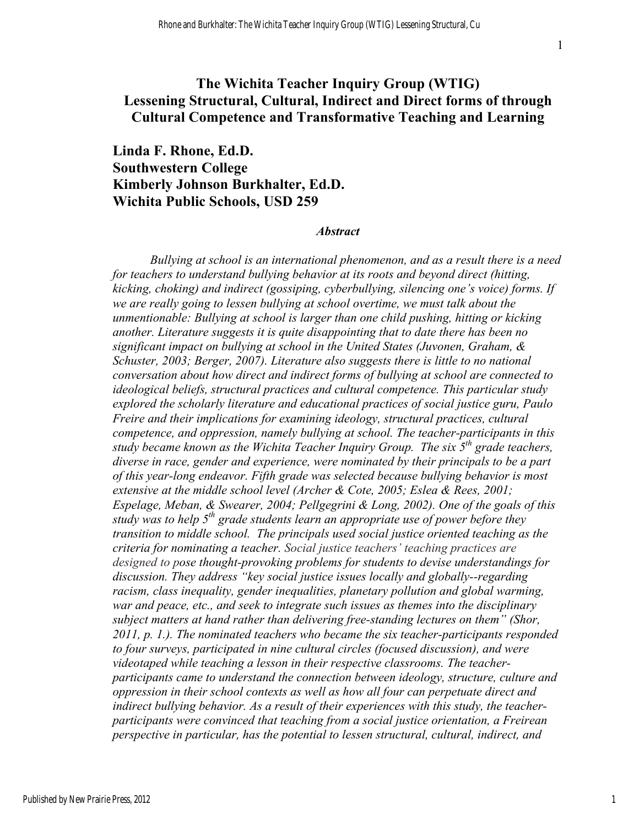### **The Wichita Teacher Inquiry Group (WTIG) Lessening Structural, Cultural, Indirect and Direct forms of through Cultural Competence and Transformative Teaching and Learning**

**Linda F. Rhone, Ed.D. Southwestern College Kimberly Johnson Burkhalter, Ed.D. Wichita Public Schools, USD 259**

#### *Abstract*

*Bullying at school is an international phenomenon, and as a result there is a need for teachers to understand bullying behavior at its roots and beyond direct (hitting, kicking, choking) and indirect (gossiping, cyberbullying, silencing one's voice) forms. If we are really going to lessen bullying at school overtime, we must talk about the unmentionable: Bullying at school is larger than one child pushing, hitting or kicking another. Literature suggests it is quite disappointing that to date there has been no significant impact on bullying at school in the United States (Juvonen, Graham, & Schuster, 2003; Berger, 2007). Literature also suggests there is little to no national conversation about how direct and indirect forms of bullying at school are connected to ideological beliefs, structural practices and cultural competence. This particular study explored the scholarly literature and educational practices of social justice guru, Paulo Freire and their implications for examining ideology, structural practices, cultural competence, and oppression, namely bullying at school. The teacher-participants in this study became known as the Wichita Teacher Inquiry Group. The six 5<sup>th</sup> grade teachers, diverse in race, gender and experience, were nominated by their principals to be a part of this year-long endeavor. Fifth grade was selected because bullying behavior is most extensive at the middle school level (Archer & Cote, 2005; Eslea & Rees, 2001; Espelage, Meban, & Swearer, 2004; Pellgegrini & Long, 2002). One of the goals of this study was to help 5th grade students learn an appropriate use of power before they transition to middle school. The principals used social justice oriented teaching as the criteria for nominating a teacher. Social justice teachers' teaching practices are designed to pose thought-provoking problems for students to devise understandings for discussion. They address "key social justice issues locally and globally--regarding racism, class inequality, gender inequalities, planetary pollution and global warming, war and peace, etc., and seek to integrate such issues as themes into the disciplinary subject matters at hand rather than delivering free-standing lectures on them" (Shor, 2011, p. 1.). The nominated teachers who became the six teacher-participants responded to four surveys, participated in nine cultural circles (focused discussion), and were videotaped while teaching a lesson in their respective classrooms. The teacherparticipants came to understand the connection between ideology, structure, culture and oppression in their school contexts as well as how all four can perpetuate direct and indirect bullying behavior. As a result of their experiences with this study, the teacherparticipants were convinced that teaching from a social justice orientation, a Freirean perspective in particular, has the potential to lessen structural, cultural, indirect, and*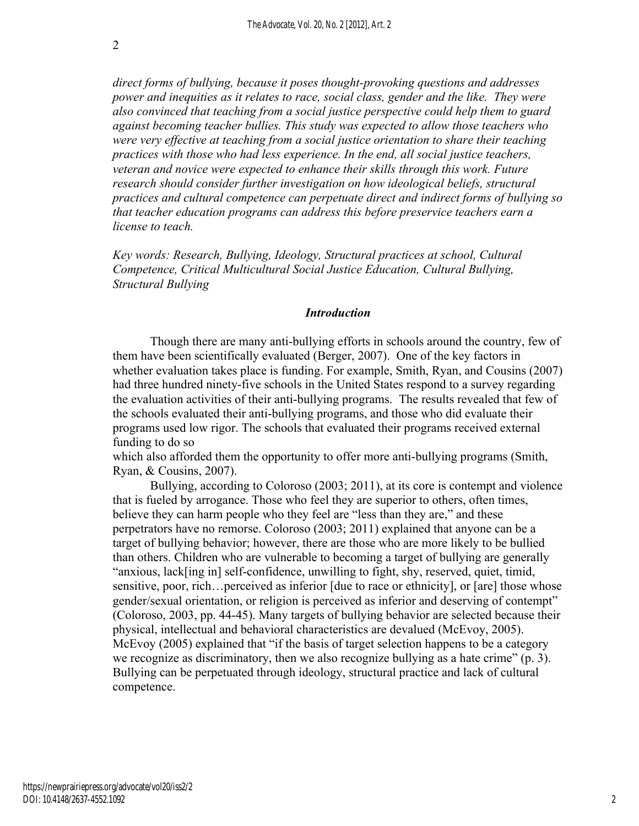*direct forms of bullying, because it poses thought-provoking questions and addresses power and inequities as it relates to race, social class, gender and the like. They were also convinced that teaching from a social justice perspective could help them to guard against becoming teacher bullies. This study was expected to allow those teachers who were very effective at teaching from a social justice orientation to share their teaching practices with those who had less experience. In the end, all social justice teachers, veteran and novice were expected to enhance their skills through this work. Future research should consider further investigation on how ideological beliefs, structural practices and cultural competence can perpetuate direct and indirect forms of bullying so that teacher education programs can address this before preservice teachers earn a license to teach.* 

*Key words: Research, Bullying, Ideology, Structural practices at school, Cultural Competence, Critical Multicultural Social Justice Education, Cultural Bullying, Structural Bullying*

#### *Introduction*

Though there are many anti-bullying efforts in schools around the country, few of them have been scientifically evaluated (Berger, 2007). One of the key factors in whether evaluation takes place is funding. For example, Smith, Ryan, and Cousins (2007) had three hundred ninety-five schools in the United States respond to a survey regarding the evaluation activities of their anti-bullying programs. The results revealed that few of the schools evaluated their anti-bullying programs, and those who did evaluate their programs used low rigor. The schools that evaluated their programs received external funding to do so

which also afforded them the opportunity to offer more anti-bullying programs (Smith, Ryan, & Cousins, 2007).

Bullying, according to Coloroso (2003; 2011), at its core is contempt and violence that is fueled by arrogance. Those who feel they are superior to others, often times, believe they can harm people who they feel are "less than they are," and these perpetrators have no remorse. Coloroso (2003; 2011) explained that anyone can be a target of bullying behavior; however, there are those who are more likely to be bullied than others. Children who are vulnerable to becoming a target of bullying are generally "anxious, lack[ing in] self-confidence, unwilling to fight, shy, reserved, quiet, timid, sensitive, poor, rich...perceived as inferior [due to race or ethnicity], or [are] those whose gender/sexual orientation, or religion is perceived as inferior and deserving of contempt" (Coloroso, 2003, pp. 44-45). Many targets of bullying behavior are selected because their physical, intellectual and behavioral characteristics are devalued (McEvoy, 2005). McEvoy (2005) explained that "if the basis of target selection happens to be a category we recognize as discriminatory, then we also recognize bullying as a hate crime" (p. 3). Bullying can be perpetuated through ideology, structural practice and lack of cultural competence.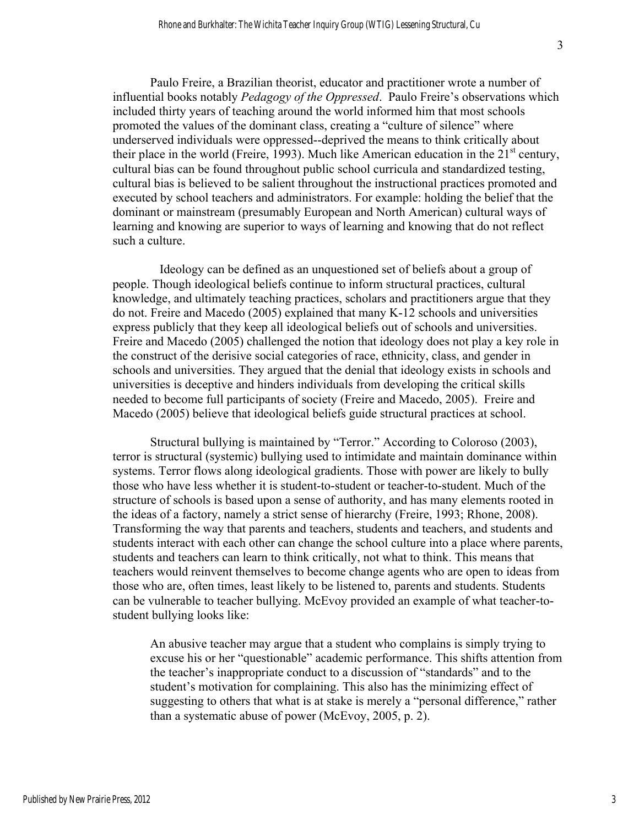Paulo Freire, a Brazilian theorist, educator and practitioner wrote a number of influential books notably *Pedagogy of the Oppressed*. Paulo Freire's observations which included thirty years of teaching around the world informed him that most schools promoted the values of the dominant class, creating a "culture of silence" where underserved individuals were oppressed--deprived the means to think critically about their place in the world (Freire, 1993). Much like American education in the  $21<sup>st</sup>$  century, cultural bias can be found throughout public school curricula and standardized testing, cultural bias is believed to be salient throughout the instructional practices promoted and executed by school teachers and administrators. For example: holding the belief that the dominant or mainstream (presumably European and North American) cultural ways of learning and knowing are superior to ways of learning and knowing that do not reflect such a culture.

 Ideology can be defined as an unquestioned set of beliefs about a group of people. Though ideological beliefs continue to inform structural practices, cultural knowledge, and ultimately teaching practices, scholars and practitioners argue that they do not. Freire and Macedo (2005) explained that many K-12 schools and universities express publicly that they keep all ideological beliefs out of schools and universities. Freire and Macedo (2005) challenged the notion that ideology does not play a key role in the construct of the derisive social categories of race, ethnicity, class, and gender in schools and universities. They argued that the denial that ideology exists in schools and universities is deceptive and hinders individuals from developing the critical skills needed to become full participants of society (Freire and Macedo, 2005). Freire and Macedo (2005) believe that ideological beliefs guide structural practices at school.

Structural bullying is maintained by "Terror." According to Coloroso (2003), terror is structural (systemic) bullying used to intimidate and maintain dominance within systems. Terror flows along ideological gradients. Those with power are likely to bully those who have less whether it is student-to-student or teacher-to-student. Much of the structure of schools is based upon a sense of authority, and has many elements rooted in the ideas of a factory, namely a strict sense of hierarchy (Freire, 1993; Rhone, 2008). Transforming the way that parents and teachers, students and teachers, and students and students interact with each other can change the school culture into a place where parents, students and teachers can learn to think critically, not what to think. This means that teachers would reinvent themselves to become change agents who are open to ideas from those who are, often times, least likely to be listened to, parents and students. Students can be vulnerable to teacher bullying. McEvoy provided an example of what teacher-tostudent bullying looks like:

An abusive teacher may argue that a student who complains is simply trying to excuse his or her "questionable" academic performance. This shifts attention from the teacher's inappropriate conduct to a discussion of "standards" and to the student's motivation for complaining. This also has the minimizing effect of suggesting to others that what is at stake is merely a "personal difference," rather than a systematic abuse of power (McEvoy, 2005, p. 2).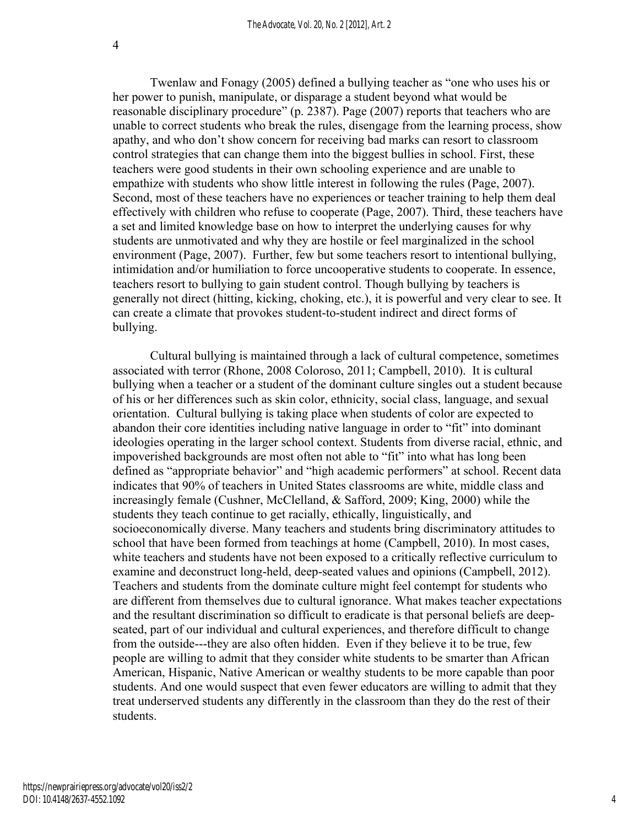Twenlaw and Fonagy (2005) defined a bullying teacher as "one who uses his or her power to punish, manipulate, or disparage a student beyond what would be reasonable disciplinary procedure" (p. 2387). Page (2007) reports that teachers who are unable to correct students who break the rules, disengage from the learning process, show apathy, and who don't show concern for receiving bad marks can resort to classroom control strategies that can change them into the biggest bullies in school. First, these teachers were good students in their own schooling experience and are unable to empathize with students who show little interest in following the rules (Page, 2007). Second, most of these teachers have no experiences or teacher training to help them deal effectively with children who refuse to cooperate (Page, 2007). Third, these teachers have a set and limited knowledge base on how to interpret the underlying causes for why students are unmotivated and why they are hostile or feel marginalized in the school environment (Page, 2007). Further, few but some teachers resort to intentional bullying, intimidation and/or humiliation to force uncooperative students to cooperate. In essence, teachers resort to bullying to gain student control. Though bullying by teachers is generally not direct (hitting, kicking, choking, etc.), it is powerful and very clear to see. It can create a climate that provokes student-to-student indirect and direct forms of bullying.

Cultural bullying is maintained through a lack of cultural competence, sometimes associated with terror (Rhone, 2008 Coloroso, 2011; Campbell, 2010). It is cultural bullying when a teacher or a student of the dominant culture singles out a student because of his or her differences such as skin color, ethnicity, social class, language, and sexual orientation. Cultural bullying is taking place when students of color are expected to abandon their core identities including native language in order to "fit" into dominant ideologies operating in the larger school context. Students from diverse racial, ethnic, and impoverished backgrounds are most often not able to "fit" into what has long been defined as "appropriate behavior" and "high academic performers" at school. Recent data indicates that 90% of teachers in United States classrooms are white, middle class and increasingly female (Cushner, McClelland, & Safford, 2009; King, 2000) while the students they teach continue to get racially, ethically, linguistically, and socioeconomically diverse. Many teachers and students bring discriminatory attitudes to school that have been formed from teachings at home (Campbell, 2010). In most cases, white teachers and students have not been exposed to a critically reflective curriculum to examine and deconstruct long-held, deep-seated values and opinions (Campbell, 2012). Teachers and students from the dominate culture might feel contempt for students who are different from themselves due to cultural ignorance. What makes teacher expectations and the resultant discrimination so difficult to eradicate is that personal beliefs are deepseated, part of our individual and cultural experiences, and therefore difficult to change from the outside---they are also often hidden. Even if they believe it to be true, few people are willing to admit that they consider white students to be smarter than African American, Hispanic, Native American or wealthy students to be more capable than poor students. And one would suspect that even fewer educators are willing to admit that they treat underserved students any differently in the classroom than they do the rest of their students.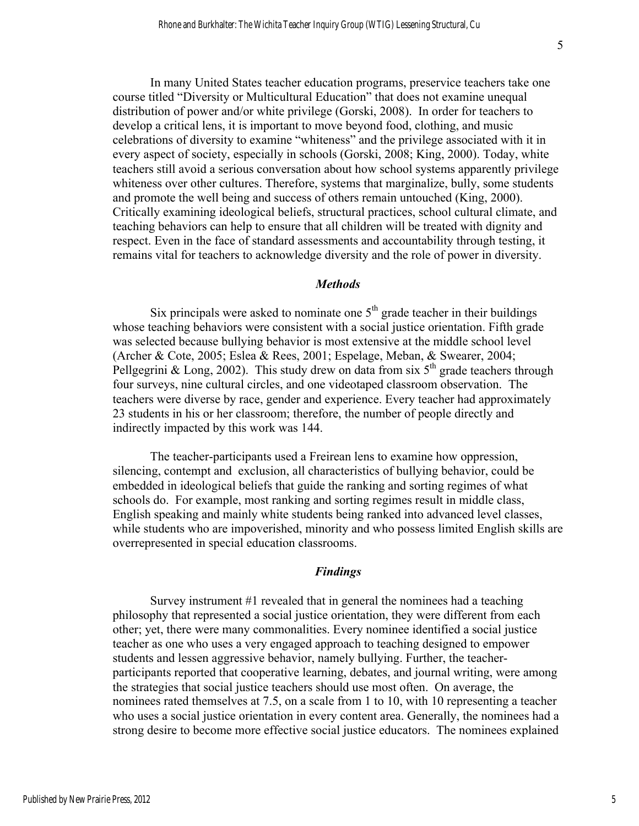In many United States teacher education programs, preservice teachers take one course titled "Diversity or Multicultural Education" that does not examine unequal distribution of power and/or white privilege (Gorski, 2008). In order for teachers to develop a critical lens, it is important to move beyond food, clothing, and music celebrations of diversity to examine "whiteness" and the privilege associated with it in every aspect of society, especially in schools (Gorski, 2008; King, 2000). Today, white teachers still avoid a serious conversation about how school systems apparently privilege whiteness over other cultures. Therefore, systems that marginalize, bully, some students and promote the well being and success of others remain untouched (King, 2000). Critically examining ideological beliefs, structural practices, school cultural climate, and teaching behaviors can help to ensure that all children will be treated with dignity and respect. Even in the face of standard assessments and accountability through testing, it remains vital for teachers to acknowledge diversity and the role of power in diversity.

#### *Methods*

Six principals were asked to nominate one  $5<sup>th</sup>$  grade teacher in their buildings whose teaching behaviors were consistent with a social justice orientation. Fifth grade was selected because bullying behavior is most extensive at the middle school level (Archer & Cote, 2005; Eslea & Rees, 2001; Espelage, Meban, & Swearer, 2004; Pellgegrini & Long, 2002). This study drew on data from six  $5<sup>th</sup>$  grade teachers through four surveys, nine cultural circles, and one videotaped classroom observation. The teachers were diverse by race, gender and experience. Every teacher had approximately 23 students in his or her classroom; therefore, the number of people directly and indirectly impacted by this work was 144.

The teacher-participants used a Freirean lens to examine how oppression, silencing, contempt and exclusion, all characteristics of bullying behavior, could be embedded in ideological beliefs that guide the ranking and sorting regimes of what schools do. For example, most ranking and sorting regimes result in middle class, English speaking and mainly white students being ranked into advanced level classes, while students who are impoverished, minority and who possess limited English skills are overrepresented in special education classrooms.

#### *Findings*

Survey instrument #1 revealed that in general the nominees had a teaching philosophy that represented a social justice orientation, they were different from each other; yet, there were many commonalities. Every nominee identified a social justice teacher as one who uses a very engaged approach to teaching designed to empower students and lessen aggressive behavior, namely bullying. Further, the teacherparticipants reported that cooperative learning, debates, and journal writing, were among the strategies that social justice teachers should use most often. On average, the nominees rated themselves at 7.5, on a scale from 1 to 10, with 10 representing a teacher who uses a social justice orientation in every content area. Generally, the nominees had a strong desire to become more effective social justice educators. The nominees explained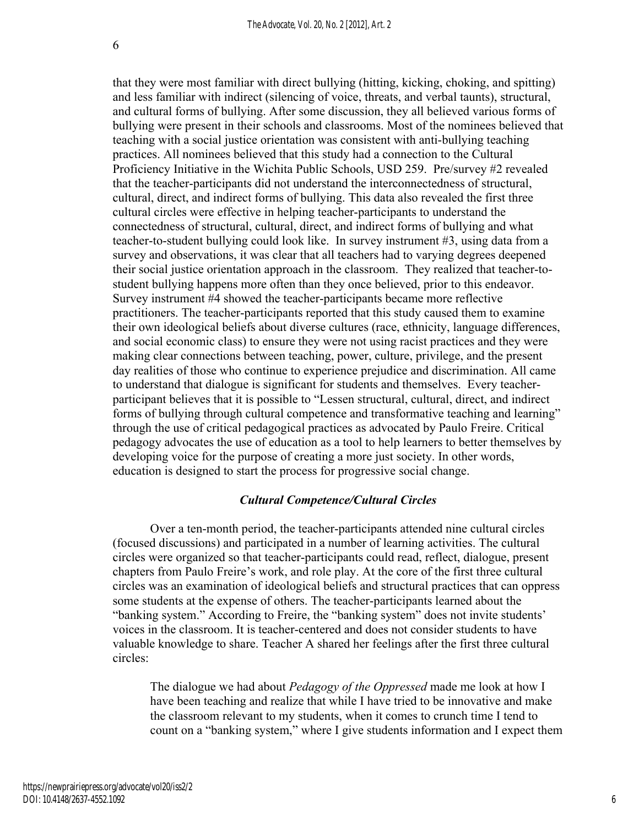6

that they were most familiar with direct bullying (hitting, kicking, choking, and spitting) and less familiar with indirect (silencing of voice, threats, and verbal taunts), structural, and cultural forms of bullying. After some discussion, they all believed various forms of bullying were present in their schools and classrooms. Most of the nominees believed that teaching with a social justice orientation was consistent with anti-bullying teaching practices. All nominees believed that this study had a connection to the Cultural Proficiency Initiative in the Wichita Public Schools, USD 259. Pre/survey #2 revealed that the teacher-participants did not understand the interconnectedness of structural, cultural, direct, and indirect forms of bullying. This data also revealed the first three cultural circles were effective in helping teacher-participants to understand the connectedness of structural, cultural, direct, and indirect forms of bullying and what teacher-to-student bullying could look like. In survey instrument #3, using data from a survey and observations, it was clear that all teachers had to varying degrees deepened their social justice orientation approach in the classroom. They realized that teacher-tostudent bullying happens more often than they once believed, prior to this endeavor. Survey instrument #4 showed the teacher-participants became more reflective practitioners. The teacher-participants reported that this study caused them to examine their own ideological beliefs about diverse cultures (race, ethnicity, language differences, and social economic class) to ensure they were not using racist practices and they were making clear connections between teaching, power, culture, privilege, and the present day realities of those who continue to experience prejudice and discrimination. All came to understand that dialogue is significant for students and themselves. Every teacherparticipant believes that it is possible to "Lessen structural, cultural, direct, and indirect forms of bullying through cultural competence and transformative teaching and learning" through the use of critical pedagogical practices as advocated by Paulo Freire. Critical pedagogy advocates the use of education as a tool to help learners to better themselves by developing voice for the purpose of creating a more just society. In other words, education is designed to start the process for progressive social change.

#### *Cultural Competence/Cultural Circles*

Over a ten-month period, the teacher-participants attended nine cultural circles (focused discussions) and participated in a number of learning activities. The cultural circles were organized so that teacher-participants could read, reflect, dialogue, present chapters from Paulo Freire's work, and role play. At the core of the first three cultural circles was an examination of ideological beliefs and structural practices that can oppress some students at the expense of others. The teacher-participants learned about the "banking system." According to Freire, the "banking system" does not invite students' voices in the classroom. It is teacher-centered and does not consider students to have valuable knowledge to share. Teacher A shared her feelings after the first three cultural circles:

The dialogue we had about *Pedagogy of the Oppressed* made me look at how I have been teaching and realize that while I have tried to be innovative and make the classroom relevant to my students, when it comes to crunch time I tend to count on a "banking system," where I give students information and I expect them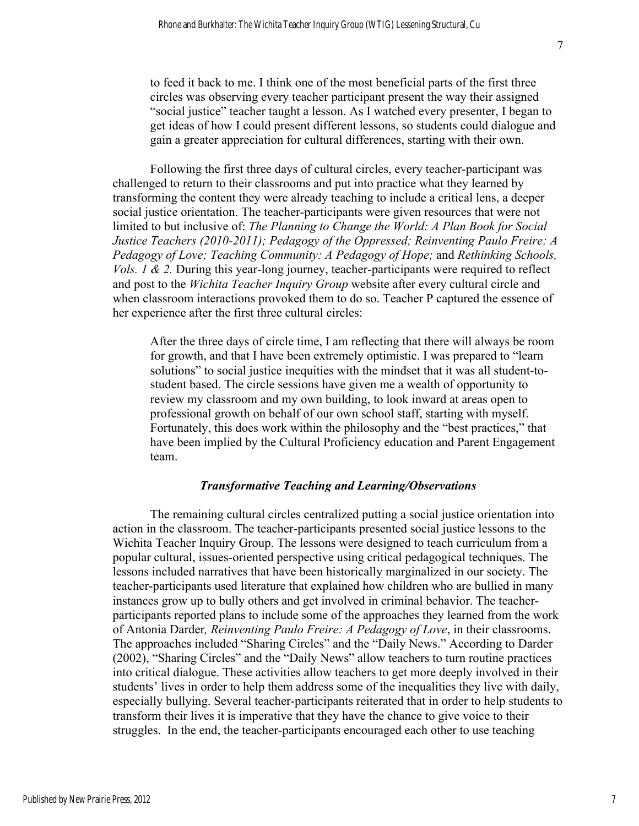to feed it back to me. I think one of the most beneficial parts of the first three circles was observing every teacher participant present the way their assigned "social justice" teacher taught a lesson. As I watched every presenter, I began to get ideas of how I could present different lessons, so students could dialogue and gain a greater appreciation for cultural differences, starting with their own.

Following the first three days of cultural circles, every teacher-participant was challenged to return to their classrooms and put into practice what they learned by transforming the content they were already teaching to include a critical lens, a deeper social justice orientation. The teacher-participants were given resources that were not limited to but inclusive of: *The Planning to Change the World: A Plan Book for Social Justice Teachers (2010-2011); Pedagogy of the Oppressed; Reinventing Paulo Freire: A Pedagogy of Love; Teaching Community: A Pedagogy of Hope;* and *Rethinking Schools, Vols. 1 & 2. During this year-long journey, teacher-participants were required to reflect* and post to the *Wichita Teacher Inquiry Group* website after every cultural circle and when classroom interactions provoked them to do so. Teacher P captured the essence of her experience after the first three cultural circles:

After the three days of circle time, I am reflecting that there will always be room for growth, and that I have been extremely optimistic. I was prepared to "learn solutions" to social justice inequities with the mindset that it was all student-tostudent based. The circle sessions have given me a wealth of opportunity to review my classroom and my own building, to look inward at areas open to professional growth on behalf of our own school staff, starting with myself. Fortunately, this does work within the philosophy and the "best practices," that have been implied by the Cultural Proficiency education and Parent Engagement team.

#### *Transformative Teaching and Learning/Observations*

The remaining cultural circles centralized putting a social justice orientation into action in the classroom. The teacher-participants presented social justice lessons to the Wichita Teacher Inquiry Group. The lessons were designed to teach curriculum from a popular cultural, issues-oriented perspective using critical pedagogical techniques. The lessons included narratives that have been historically marginalized in our society. The teacher-participants used literature that explained how children who are bullied in many instances grow up to bully others and get involved in criminal behavior. The teacherparticipants reported plans to include some of the approaches they learned from the work of Antonia Darder*, Reinventing Paulo Freire: A Pedagogy of Love*, in their classrooms. The approaches included "Sharing Circles" and the "Daily News." According to Darder (2002), "Sharing Circles" and the "Daily News" allow teachers to turn routine practices into critical dialogue. These activities allow teachers to get more deeply involved in their students' lives in order to help them address some of the inequalities they live with daily, especially bullying. Several teacher-participants reiterated that in order to help students to transform their lives it is imperative that they have the chance to give voice to their struggles. In the end, the teacher-participants encouraged each other to use teaching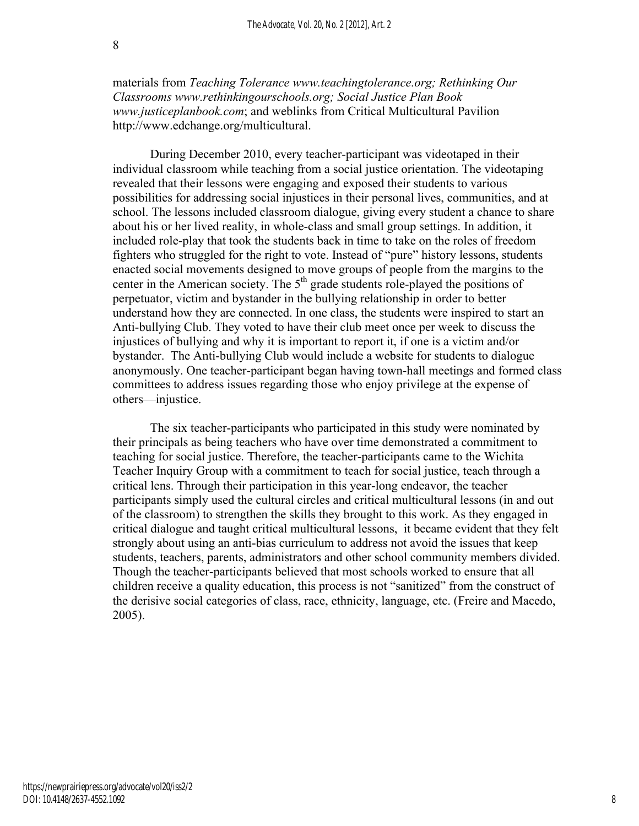materials from *Teaching Tolerance www.teachingtolerance.org; Rethinking Our Classrooms www.rethinkingourschools.org; Social Justice Plan Book www.justiceplanbook.com*; and weblinks from Critical Multicultural Pavilion http://www.edchange.org/multicultural.

During December 2010, every teacher-participant was videotaped in their individual classroom while teaching from a social justice orientation. The videotaping revealed that their lessons were engaging and exposed their students to various possibilities for addressing social injustices in their personal lives, communities, and at school. The lessons included classroom dialogue, giving every student a chance to share about his or her lived reality, in whole-class and small group settings. In addition, it included role-play that took the students back in time to take on the roles of freedom fighters who struggled for the right to vote. Instead of "pure" history lessons, students enacted social movements designed to move groups of people from the margins to the center in the American society. The  $5<sup>th</sup>$  grade students role-played the positions of perpetuator, victim and bystander in the bullying relationship in order to better understand how they are connected. In one class, the students were inspired to start an Anti-bullying Club. They voted to have their club meet once per week to discuss the injustices of bullying and why it is important to report it, if one is a victim and/or bystander. The Anti-bullying Club would include a website for students to dialogue anonymously. One teacher-participant began having town-hall meetings and formed class committees to address issues regarding those who enjoy privilege at the expense of others—injustice.

The six teacher-participants who participated in this study were nominated by their principals as being teachers who have over time demonstrated a commitment to teaching for social justice. Therefore, the teacher-participants came to the Wichita Teacher Inquiry Group with a commitment to teach for social justice, teach through a critical lens. Through their participation in this year-long endeavor, the teacher participants simply used the cultural circles and critical multicultural lessons (in and out of the classroom) to strengthen the skills they brought to this work. As they engaged in critical dialogue and taught critical multicultural lessons, it became evident that they felt strongly about using an anti-bias curriculum to address not avoid the issues that keep students, teachers, parents, administrators and other school community members divided. Though the teacher-participants believed that most schools worked to ensure that all children receive a quality education, this process is not "sanitized" from the construct of the derisive social categories of class, race, ethnicity, language, etc. (Freire and Macedo, 2005).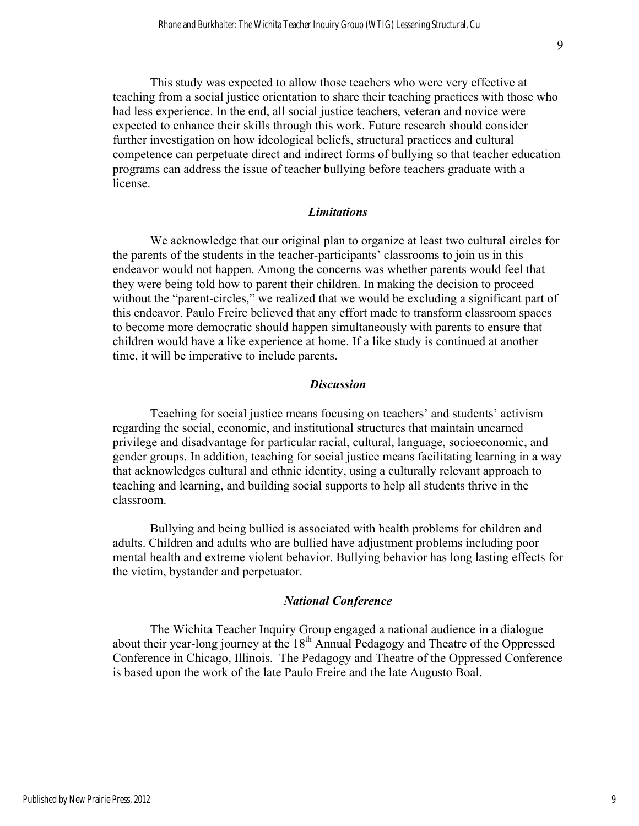This study was expected to allow those teachers who were very effective at teaching from a social justice orientation to share their teaching practices with those who had less experience. In the end, all social justice teachers, veteran and novice were expected to enhance their skills through this work. Future research should consider further investigation on how ideological beliefs, structural practices and cultural competence can perpetuate direct and indirect forms of bullying so that teacher education programs can address the issue of teacher bullying before teachers graduate with a license.

#### *Limitations*

We acknowledge that our original plan to organize at least two cultural circles for the parents of the students in the teacher-participants' classrooms to join us in this endeavor would not happen. Among the concerns was whether parents would feel that they were being told how to parent their children. In making the decision to proceed without the "parent-circles," we realized that we would be excluding a significant part of this endeavor. Paulo Freire believed that any effort made to transform classroom spaces to become more democratic should happen simultaneously with parents to ensure that children would have a like experience at home. If a like study is continued at another time, it will be imperative to include parents.

#### *Discussion*

Teaching for social justice means focusing on teachers' and students' activism regarding the social, economic, and institutional structures that maintain unearned privilege and disadvantage for particular racial, cultural, language, socioeconomic, and gender groups. In addition, teaching for social justice means facilitating learning in a way that acknowledges cultural and ethnic identity, using a culturally relevant approach to teaching and learning, and building social supports to help all students thrive in the classroom.

Bullying and being bullied is associated with health problems for children and adults. Children and adults who are bullied have adjustment problems including poor mental health and extreme violent behavior. Bullying behavior has long lasting effects for the victim, bystander and perpetuator.

#### *National Conference*

The Wichita Teacher Inquiry Group engaged a national audience in a dialogue about their year-long journey at the  $18<sup>th</sup>$  Annual Pedagogy and Theatre of the Oppressed Conference in Chicago, Illinois. The Pedagogy and Theatre of the Oppressed Conference is based upon the work of the late Paulo Freire and the late Augusto Boal.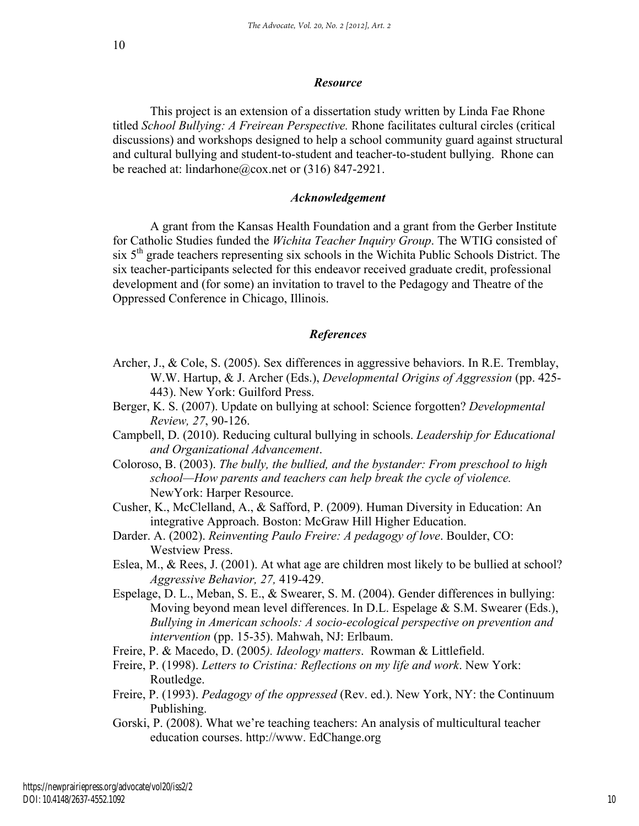#### *Resource*

This project is an extension of a dissertation study written by Linda Fae Rhone titled *School Bullying: A Freirean Perspective.* Rhone facilitates cultural circles (critical discussions) and workshops designed to help a school community guard against structural and cultural bullying and student-to-student and teacher-to-student bullying. Rhone can be reached at: lindarhone@cox.net or (316) 847-2921.

#### *Acknowledgement*

A grant from the Kansas Health Foundation and a grant from the Gerber Institute for Catholic Studies funded the *Wichita Teacher Inquiry Group*. The WTIG consisted of six  $5<sup>th</sup>$  grade teachers representing six schools in the Wichita Public Schools District. The six teacher-participants selected for this endeavor received graduate credit, professional development and (for some) an invitation to travel to the Pedagogy and Theatre of the Oppressed Conference in Chicago, Illinois.

#### *References*

- Archer, J., & Cole, S. (2005). Sex differences in aggressive behaviors. In R.E. Tremblay, W.W. Hartup, & J. Archer (Eds.), *Developmental Origins of Aggression* (pp. 425- 443). New York: Guilford Press.
- Berger, K. S. (2007). Update on bullying at school: Science forgotten? *Developmental Review, 27*, 90-126.
- Campbell, D. (2010). Reducing cultural bullying in schools. *Leadership for Educational and Organizational Advancement*.
- Coloroso, B. (2003). *The bully, the bullied, and the bystander: From preschool to high school—How parents and teachers can help break the cycle of violence.*  NewYork: Harper Resource.
- Cusher, K., McClelland, A., & Safford, P. (2009). Human Diversity in Education: An integrative Approach. Boston: McGraw Hill Higher Education.
- Darder. A. (2002). *Reinventing Paulo Freire: A pedagogy of love*. Boulder, CO: Westview Press.
- Eslea, M., & Rees, J. (2001). At what age are children most likely to be bullied at school? *Aggressive Behavior, 27,* 419-429.
- Espelage, D. L., Meban, S. E., & Swearer, S. M. (2004). Gender differences in bullying: Moving beyond mean level differences. In D.L. Espelage & S.M. Swearer (Eds.), *Bullying in American schools: A socio-ecological perspective on prevention and intervention* (pp. 15-35). Mahwah, NJ: Erlbaum.
- Freire, P. & Macedo, D. (2005*). Ideology matters*. Rowman & Littlefield.
- Freire, P. (1998). *Letters to Cristina: Reflections on my life and work*. New York: Routledge.
- Freire, P. (1993). *Pedagogy of the oppressed* (Rev. ed.). New York, NY: the Continuum Publishing.
- Gorski, P. (2008). What we're teaching teachers: An analysis of multicultural teacher education courses. http://www. EdChange.org